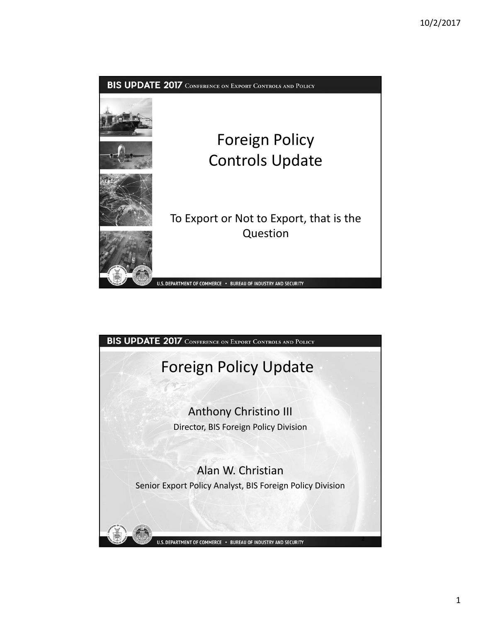

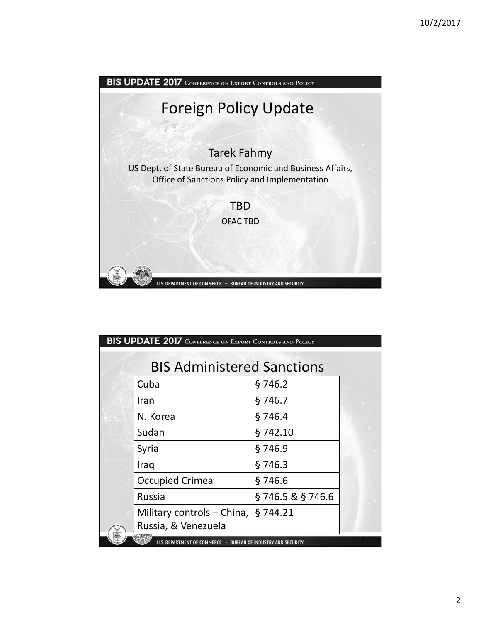

| <b>BIS UPDATE 2017</b> CONFERENCE ON EXPORT CONTROLS AND POLICY |                            |                 |  |
|-----------------------------------------------------------------|----------------------------|-----------------|--|
| <b>BIS Administered Sanctions</b>                               |                            |                 |  |
|                                                                 | Cuba                       | §746.2          |  |
|                                                                 | Iran                       | §746.7          |  |
|                                                                 | N. Korea                   | §746.4          |  |
|                                                                 | Sudan                      | §742.10         |  |
|                                                                 | Syria                      | §746.9          |  |
|                                                                 | Iraq                       | §746.3          |  |
|                                                                 | <b>Occupied Crimea</b>     | §746.6          |  |
|                                                                 | <b>Russia</b>              | §746.5 & §746.6 |  |
|                                                                 | Military controls – China, | §744.21         |  |
|                                                                 | Russia, & Venezuela        |                 |  |
| U.S. DEPARTMENT OF COMMERCE . BUREAU OF INDUSTRY AND SECURITY   |                            |                 |  |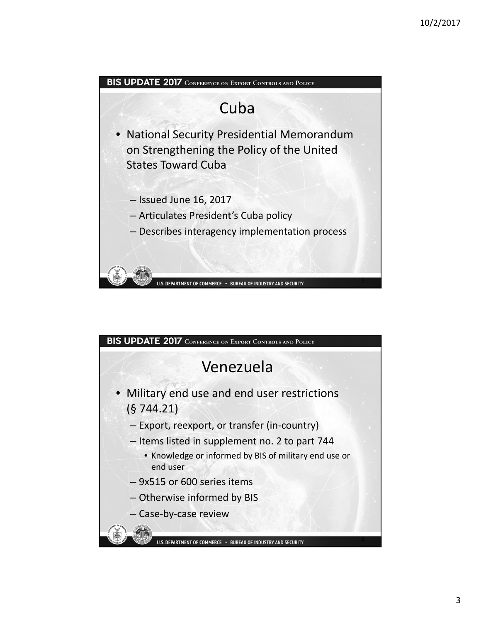

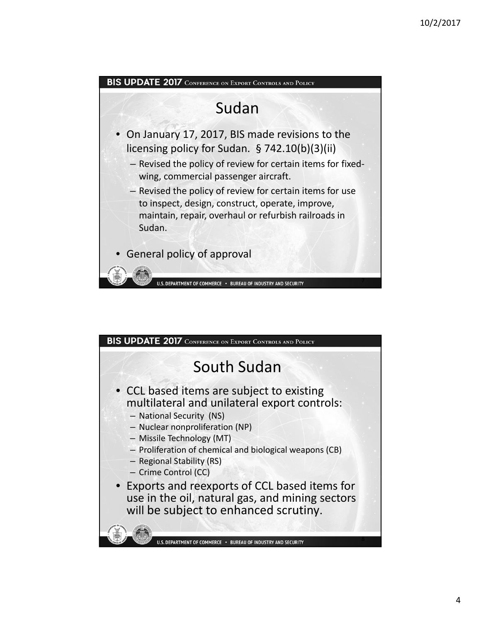

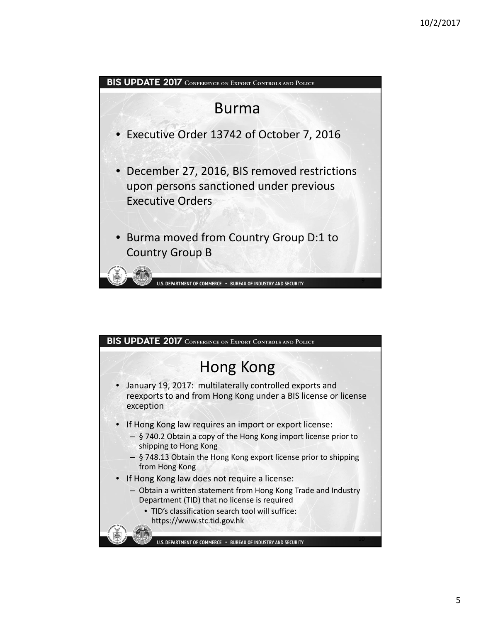